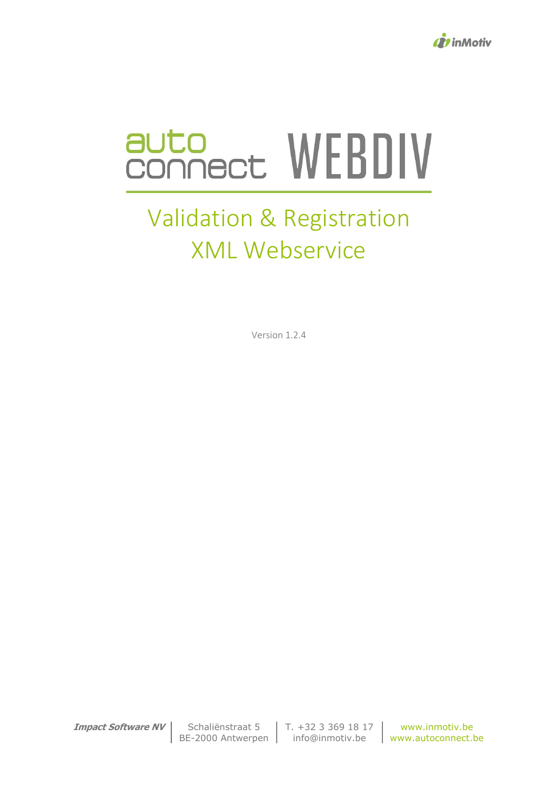

# auto<br>connect WEBDIV

# Validation & Registration XML Webservice

Version 1.2.4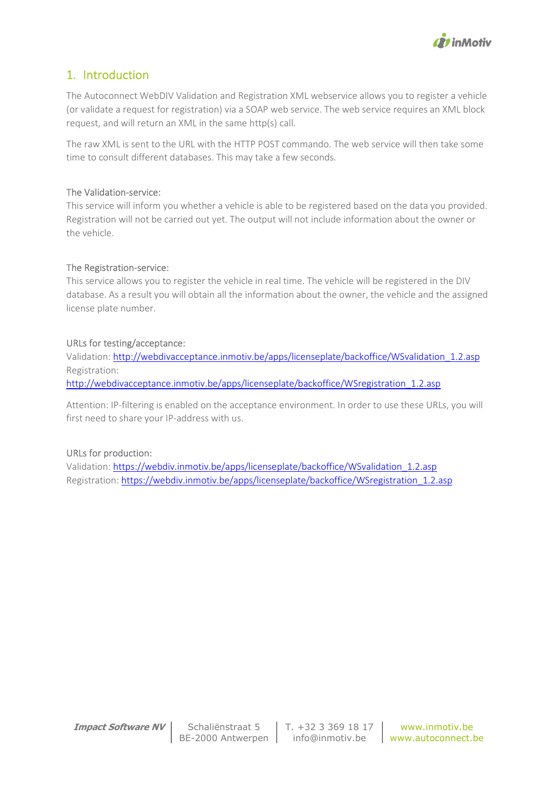

# 1. Introduction

The Autoconnect WebDIV Validation and Registration XML webservice allows you to register a vehicle (or validate a request for registration) via a SOAP web service. The web service requires an XML block request, and will return an XML in the same http(s) call.

The raw XML is sent to the URL with the HTTP POST commando. The web service will then take some time to consult different databases. This may take a few seconds.

#### The Validation-service:

This service will inform you whether a vehicle is able to be registered based on the data you provided. Registration will not be carried out yet. The output will not include information about the owner or the vehicle.

#### The Registration-service:

This service allows you to register the vehicle in real time. The vehicle will be registered in the DIV database. As a result you will obtain all the information about the owner, the vehicle and the assigned license plate number.

#### URLs for testing/acceptance:

Validation: http://webdivacceptance.inmotiv.be/apps/licenseplate/backoffice/WSvalidation\_1.2.asp Registration: http://webdivacceptance.inmotiv.be/apps/licenseplate/backoffice/WSregistration\_1.2.asp

Attention: IP-filtering is enabled on the acceptance environment. In order to use these URLs, you will first need to share your IP-address with us.

#### URLs for production:

Validation: https://webdiv.inmotiv.be/apps/licenseplate/backoffice/WSvalidation\_1.2.asp Registration: https://webdiv.inmotiv.be/apps/licenseplate/backoffice/WSregistration\_1.2.asp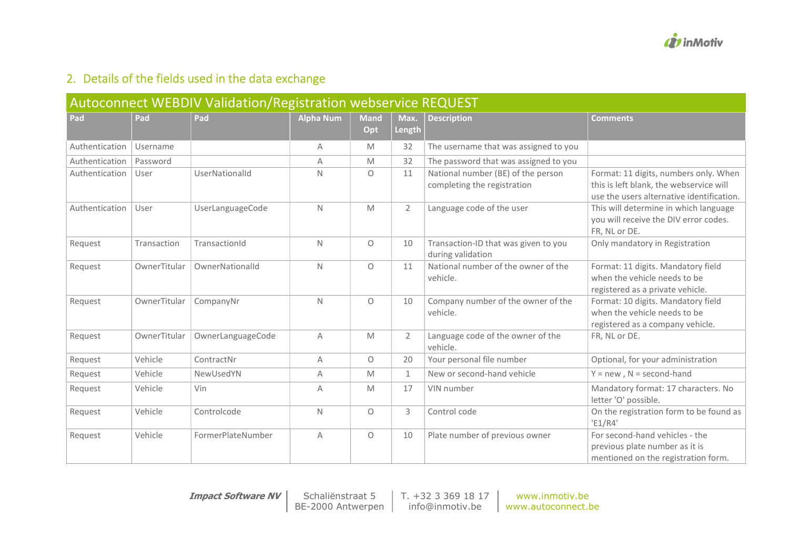

# 2. Details of the fields used in the data exchange

| Autoconnect WEBDIV Validation/Registration webservice REQUEST |              |                   |                  |                     |                |                                                                   |                                                                                                                               |  |  |  |
|---------------------------------------------------------------|--------------|-------------------|------------------|---------------------|----------------|-------------------------------------------------------------------|-------------------------------------------------------------------------------------------------------------------------------|--|--|--|
| Pad                                                           | Pad          | Pad               | <b>Alpha Num</b> | <b>Mand</b><br>Opt  | Max.<br>Length | <b>Description</b>                                                | <b>Comments</b>                                                                                                               |  |  |  |
| Authentication                                                | Username     |                   | A                | M                   | 32             | The username that was assigned to you                             |                                                                                                                               |  |  |  |
| Authentication                                                | Password     |                   | A                | M                   | 32             | The password that was assigned to you                             |                                                                                                                               |  |  |  |
| Authentication                                                | User         | UserNationalId    | N                | $\circ$             | 11             | National number (BE) of the person<br>completing the registration | Format: 11 digits, numbers only. When<br>this is left blank, the webservice will<br>use the users alternative identification. |  |  |  |
| Authentication                                                | User         | UserLanguageCode  | N                | M                   | $\overline{2}$ | Language code of the user                                         | This will determine in which language<br>you will receive the DIV error codes.<br>FR, NL or DE.                               |  |  |  |
| Request                                                       | Transaction  | TransactionId     | N                | $\circ$             | 10             | Transaction-ID that was given to you<br>during validation         | Only mandatory in Registration                                                                                                |  |  |  |
| Request                                                       | OwnerTitular | OwnerNationalId   | N                | $\circlearrowright$ | 11             | National number of the owner of the<br>vehicle.                   | Format: 11 digits. Mandatory field<br>when the vehicle needs to be<br>registered as a private vehicle.                        |  |  |  |
| Request                                                       | OwnerTitular | CompanyNr         | N                | $\circ$             | 10             | Company number of the owner of the<br>vehicle.                    | Format: 10 digits. Mandatory field<br>when the vehicle needs to be<br>registered as a company vehicle.                        |  |  |  |
| Request                                                       | OwnerTitular | OwnerLanguageCode | A                | M                   | $\overline{2}$ | Language code of the owner of the<br>vehicle.                     | FR, NL or DE.                                                                                                                 |  |  |  |
| Request                                                       | Vehicle      | ContractNr        | A                | $\circ$             | 20             | Your personal file number                                         | Optional, for your administration                                                                                             |  |  |  |
| Request                                                       | Vehicle      | NewUsedYN         | A                | M                   | $\mathbf{1}$   | New or second-hand vehicle                                        | $Y = new$ , $N = second$ -hand                                                                                                |  |  |  |
| Request                                                       | Vehicle      | Vin               | A                | M                   | 17             | VIN number                                                        | Mandatory format: 17 characters. No<br>letter 'O' possible.                                                                   |  |  |  |
| Request                                                       | Vehicle      | Controlcode       | N                | $\circ$             | 3              | Control code                                                      | On the registration form to be found as<br>'E1/R4'                                                                            |  |  |  |
| Request                                                       | Vehicle      | FormerPlateNumber | A                | $\circ$             | 10             | Plate number of previous owner                                    | For second-hand vehicles - the<br>previous plate number as it is<br>mentioned on the registration form.                       |  |  |  |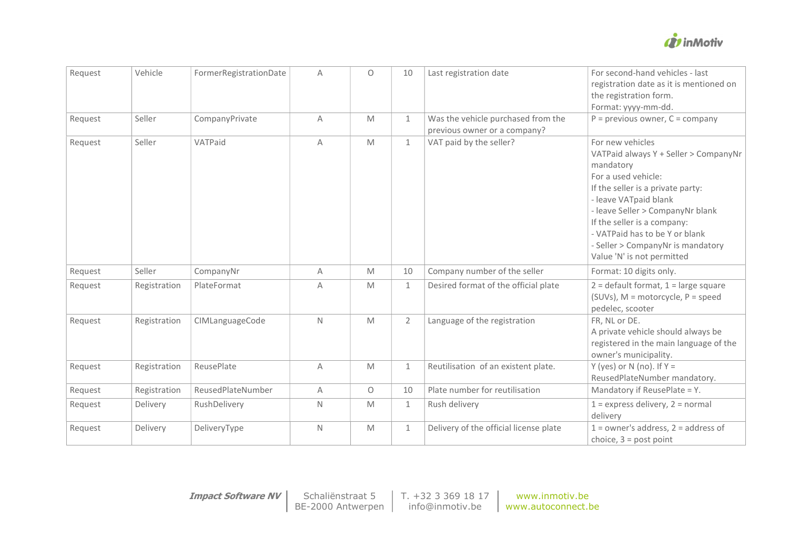

| Request | Vehicle      | FormerRegistrationDate | A           | $\Omega$ | 10           | Last registration date                                             | For second-hand vehicles - last<br>registration date as it is mentioned on<br>the registration form.<br>Format: yyyy-mm-dd.                                                                                                                                                                                                         |
|---------|--------------|------------------------|-------------|----------|--------------|--------------------------------------------------------------------|-------------------------------------------------------------------------------------------------------------------------------------------------------------------------------------------------------------------------------------------------------------------------------------------------------------------------------------|
| Request | Seller       | CompanyPrivate         | A           | M        | 1            | Was the vehicle purchased from the<br>previous owner or a company? | $P =$ previous owner, $C =$ company                                                                                                                                                                                                                                                                                                 |
| Request | Seller       | VATPaid                | A           | M        | $\mathbf{1}$ | VAT paid by the seller?                                            | For new vehicles<br>VATPaid always Y + Seller > CompanyNr<br>mandatory<br>For a used vehicle:<br>If the seller is a private party:<br>- leave VATpaid blank<br>- leave Seller > CompanyNr blank<br>If the seller is a company:<br>- VATPaid has to be Y or blank<br>- Seller > CompanyNr is mandatory<br>Value 'N' is not permitted |
| Request | Seller       | CompanyNr              | A           | M        | 10           | Company number of the seller                                       | Format: 10 digits only.                                                                                                                                                                                                                                                                                                             |
| Request | Registration | PlateFormat            | Α           | M        | 1            | Desired format of the official plate                               | $2 =$ default format, $1 =$ large square<br>(SUVs), $M =$ motorcycle, $P =$ speed<br>pedelec, scooter                                                                                                                                                                                                                               |
| Request | Registration | CIMLanguageCode        | $\mathbb N$ | M        | 2            | Language of the registration                                       | FR, NL or DE.<br>A private vehicle should always be<br>registered in the main language of the<br>owner's municipality.                                                                                                                                                                                                              |
| Request | Registration | ReusePlate             | A           | M        | $\mathbf{1}$ | Reutilisation of an existent plate.                                | Y (yes) or N (no). If $Y =$<br>ReusedPlateNumber mandatory.                                                                                                                                                                                                                                                                         |
| Request | Registration | ReusedPlateNumber      | A           | $\circ$  | 10           | Plate number for reutilisation                                     | Mandatory if ReusePlate = Y.                                                                                                                                                                                                                                                                                                        |
| Request | Delivery     | RushDelivery           | $\mathbb N$ | M        | 1            | Rush delivery                                                      | $1 =$ express delivery, $2 =$ normal<br>delivery                                                                                                                                                                                                                                                                                    |
| Request | Delivery     | DeliveryType           | $\mathbb N$ | M        | 1            | Delivery of the official license plate                             | $1 =$ owner's address, $2 =$ address of<br>choice, $3 =$ post point                                                                                                                                                                                                                                                                 |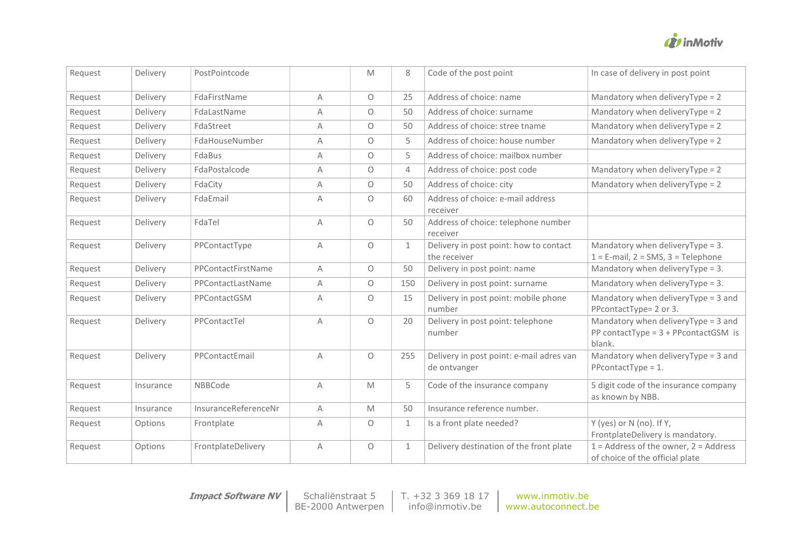

| Request | Delivery  | PostPointcode        |              | M       | 8              | Code of the post point                                   | In case of delivery in post point                                                        |
|---------|-----------|----------------------|--------------|---------|----------------|----------------------------------------------------------|------------------------------------------------------------------------------------------|
| Request | Delivery  | FdaFirstName         | A            | $\circ$ | 25             | Address of choice: name                                  | Mandatory when deliveryType = 2                                                          |
| Request | Delivery  | FdaLastName          | Α            | $\circ$ | 50             | Address of choice: surname                               | Mandatory when deliveryType = 2                                                          |
| Request | Delivery  | FdaStreet            | A            | $\circ$ | 50             | Address of choice: stree tname                           | Mandatory when deliveryType = 2                                                          |
| Request | Delivery  | FdaHouseNumber       | A            | 0       | 5              | Address of choice: house number                          | Mandatory when deliveryType = 2                                                          |
| Request | Delivery  | FdaBus               | A            | $\circ$ | 5              | Address of choice: mailbox number                        |                                                                                          |
| Request | Delivery  | FdaPostalcode        | A            | $\circ$ | $\overline{4}$ | Address of choice: post code                             | Mandatory when deliveryType = 2                                                          |
| Request | Delivery  | FdaCity              | A            | $\circ$ | 50             | Address of choice: city                                  | Mandatory when deliveryType = 2                                                          |
| Request | Delivery  | FdaEmail             | A            | $\circ$ | 60             | Address of choice: e-mail address<br>receiver            |                                                                                          |
| Request | Delivery  | FdaTel               | A            | $\circ$ | 50             | Address of choice: telephone number<br>receiver          |                                                                                          |
| Request | Delivery  | PPContactType        | A            | $\circ$ | $\mathbf{1}$   | Delivery in post point: how to contact<br>the receiver   | Mandatory when deliveryType = 3.<br>$1 = E$ -mail, $2 = SMS$ , $3 = Telephone$           |
| Request | Delivery  | PPContactFirstName   | A            | 0       | 50             | Delivery in post point: name                             | Mandatory when deliveryType = 3.                                                         |
| Request | Delivery  | PPContactLastName    | A            | $\circ$ | 150            | Delivery in post point: surname                          | Mandatory when deliveryType = 3.                                                         |
| Request | Delivery  | PPContactGSM         | A            | 0       | 15             | Delivery in post point: mobile phone<br>number           | Mandatory when deliveryType = 3 and<br>PPcontactType= 2 or 3.                            |
| Request | Delivery  | PPContactTel         | $\mathsf{A}$ | $\circ$ | 20             | Delivery in post point: telephone<br>number              | Mandatory when deliveryType = 3 and<br>PP contactType = $3 + P$ PcontactGSM is<br>blank. |
| Request | Delivery  | PPContactEmail       | A            | $\circ$ | 255            | Delivery in post point: e-mail adres van<br>de ontvanger | Mandatory when deliveryType = 3 and<br>$P$ PcontactType = 1.                             |
| Request | Insurance | NBBCode              | A            | M       | 5              | Code of the insurance company                            | 5 digit code of the insurance company<br>as known by NBB.                                |
| Request | Insurance | InsuranceReferenceNr | A            | M       | 50             | Insurance reference number.                              |                                                                                          |
| Request | Options   | Frontplate           | A            | $\circ$ | 1              | Is a front plate needed?                                 | Y (yes) or N (no). If Y,<br>FrontplateDelivery is mandatory.                             |
| Request | Options   | FrontplateDelivery   | Α            | 0       | 1              | Delivery destination of the front plate                  | $1 =$ Address of the owner, $2 =$ Address<br>of choice of the official plate             |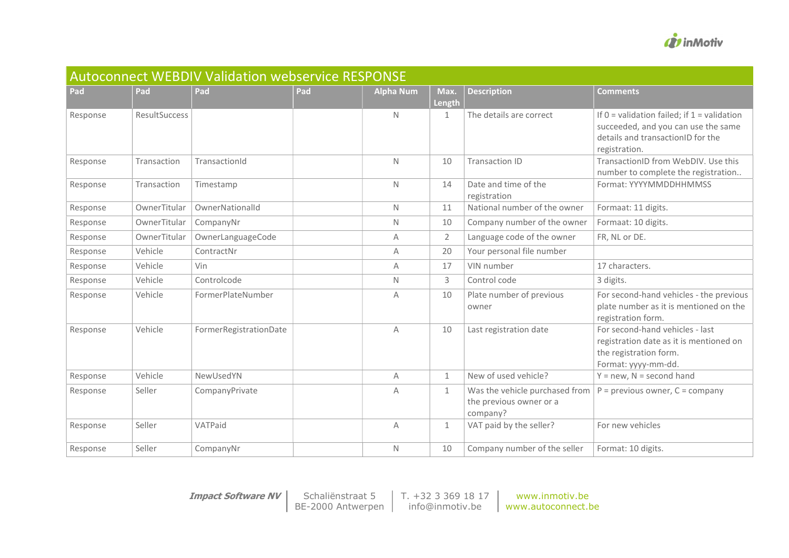

| <b>Autoconnect WEBDIV Validation webservice RESPONSE</b> |               |                        |     |                  |                |                                                                       |                                                                                                                                              |  |  |  |
|----------------------------------------------------------|---------------|------------------------|-----|------------------|----------------|-----------------------------------------------------------------------|----------------------------------------------------------------------------------------------------------------------------------------------|--|--|--|
| Pad                                                      | Pad           | Pad                    | Pad | <b>Alpha Num</b> | Max.<br>Length | <b>Description</b>                                                    | <b>Comments</b>                                                                                                                              |  |  |  |
| Response                                                 | ResultSuccess |                        |     | $\mathsf{N}$     | $\mathbf{1}$   | The details are correct                                               | If $0 =$ validation failed; if $1 =$ validation<br>succeeded, and you can use the same<br>details and transactionID for the<br>registration. |  |  |  |
| Response                                                 | Transaction   | TransactionId          |     | $\mathsf{N}$     | 10             | <b>Transaction ID</b>                                                 | TransactionID from WebDIV. Use this<br>number to complete the registration                                                                   |  |  |  |
| Response                                                 | Transaction   | Timestamp              |     | $\mathsf{N}$     | 14             | Date and time of the<br>registration                                  | Format: YYYYMMDDHHMMSS                                                                                                                       |  |  |  |
| Response                                                 | OwnerTitular  | OwnerNationalId        |     | N.               | 11             | National number of the owner                                          | Formaat: 11 digits.                                                                                                                          |  |  |  |
| Response                                                 | OwnerTitular  | CompanyNr              |     | $\mathsf{N}$     | 10             | Company number of the owner                                           | Formaat: 10 digits.                                                                                                                          |  |  |  |
| Response                                                 | OwnerTitular  | OwnerLanguageCode      |     | A                | $\overline{2}$ | Language code of the owner                                            | FR, NL or DE.                                                                                                                                |  |  |  |
| Response                                                 | Vehicle       | ContractNr             |     | Α                | 20             | Your personal file number                                             |                                                                                                                                              |  |  |  |
| Response                                                 | Vehicle       | Vin                    |     | A                | 17             | VIN number                                                            | 17 characters.                                                                                                                               |  |  |  |
| Response                                                 | Vehicle       | Controlcode            |     | N                | 3              | Control code                                                          | 3 digits.                                                                                                                                    |  |  |  |
| Response                                                 | Vehicle       | FormerPlateNumber      |     | A                | 10             | Plate number of previous<br>owner                                     | For second-hand vehicles - the previous<br>plate number as it is mentioned on the<br>registration form.                                      |  |  |  |
| Response                                                 | Vehicle       | FormerRegistrationDate |     | A                | 10             | Last registration date                                                | For second-hand vehicles - last<br>registration date as it is mentioned on<br>the registration form.<br>Format: yyyy-mm-dd.                  |  |  |  |
| Response                                                 | Vehicle       | NewUsedYN              |     | Α                | $\mathbf{1}$   | New of used vehicle?                                                  | $Y = new$ , N = second hand                                                                                                                  |  |  |  |
| Response                                                 | Seller        | CompanyPrivate         |     | A                | $\mathbf{1}$   | Was the vehicle purchased from<br>the previous owner or a<br>company? | $P =$ previous owner, $C =$ company                                                                                                          |  |  |  |
| Response                                                 | Seller        | VATPaid                |     | A                | $\mathbf{1}$   | VAT paid by the seller?                                               | For new vehicles                                                                                                                             |  |  |  |
| Response                                                 | Seller        | CompanyNr              |     | N                | 10             | Company number of the seller                                          | Format: 10 digits.                                                                                                                           |  |  |  |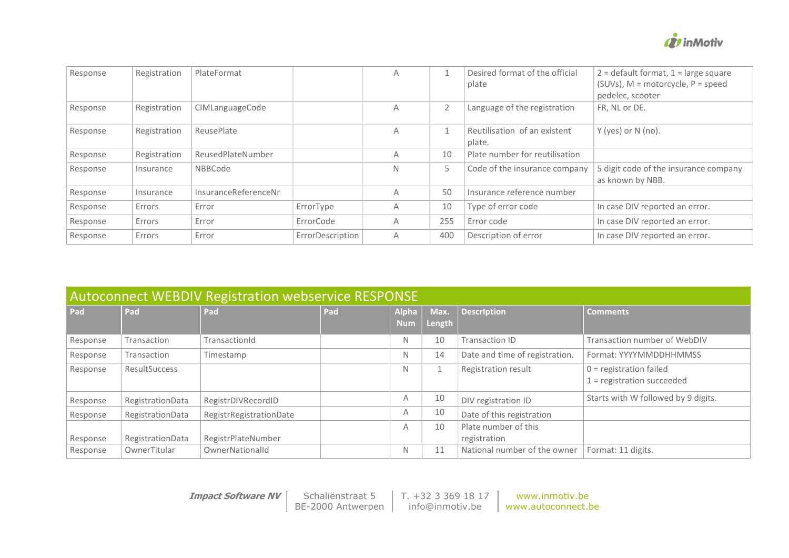

| Response | Registration | PlateFormat          |                  | А |                | Desired format of the official<br>plate | $2 =$ default format, $1 =$ large square<br>$(SUVs)$ , M = motorcycle, P = speed<br>pedelec, scooter |
|----------|--------------|----------------------|------------------|---|----------------|-----------------------------------------|------------------------------------------------------------------------------------------------------|
| Response | Registration | CIMLanguageCode      |                  | Α | $\overline{2}$ | Language of the registration            | FR, NL or DE.                                                                                        |
| Response | Registration | ReusePlate           |                  | Α |                | Reutilisation of an existent<br>plate.  | Y (yes) or N (no).                                                                                   |
| Response | Registration | ReusedPlateNumber    |                  | Α | 10             | Plate number for reutilisation          |                                                                                                      |
| Response | Insurance    | NBBCode              |                  | N | 5              | Code of the insurance company           | 5 digit code of the insurance company<br>as known by NBB.                                            |
| Response | Insurance    | InsuranceReferenceNr |                  | Α | 50             | Insurance reference number              |                                                                                                      |
| Response | Errors       | Error                | ErrorType        | Α | 10             | Type of error code                      | In case DIV reported an error.                                                                       |
| Response | Errors       | Error                | ErrorCode        | Α | 255            | Error code                              | In case DIV reported an error.                                                                       |
| Response | Errors       | Error                | ErrorDescription | Α | 400            | Description of error                    | In case DIV reported an error.                                                                       |

| <b>Autoconnect WEBDIV Registration webservice RESPONSE</b> |                      |                         |     |                            |                |                                |                                                           |  |  |  |
|------------------------------------------------------------|----------------------|-------------------------|-----|----------------------------|----------------|--------------------------------|-----------------------------------------------------------|--|--|--|
| Pad                                                        | Pad                  | Pad                     | Pad | <b>Alpha</b><br><b>Num</b> | Max.<br>Length | <b>Description</b>             | <b>Comments</b>                                           |  |  |  |
| Response                                                   | Transaction          | TransactionId           |     | N                          | 10             | Transaction ID                 | Transaction number of WebDIV                              |  |  |  |
| Response                                                   | Transaction          | Timestamp               |     | N                          | 14             | Date and time of registration. | Format: YYYYMMDDHHMMSS                                    |  |  |  |
| Response                                                   | <b>ResultSuccess</b> |                         |     | N                          |                | Registration result            | $0 =$ registration failed<br>$1$ = registration succeeded |  |  |  |
| Response                                                   | RegistrationData     | RegistrDIVRecordID      |     | A                          | 10             | DIV registration ID            | Starts with W followed by 9 digits.                       |  |  |  |
| Response                                                   | RegistrationData     | RegistrRegistrationDate |     | A                          | 10             | Date of this registration      |                                                           |  |  |  |
|                                                            |                      |                         |     | Α                          | 10             | Plate number of this           |                                                           |  |  |  |
| Response                                                   | RegistrationData     | RegistrPlateNumber      |     |                            |                | registration                   |                                                           |  |  |  |
| Response                                                   | OwnerTitular         | OwnerNationalId         |     | N                          | 11             | National number of the owner   | Format: 11 digits.                                        |  |  |  |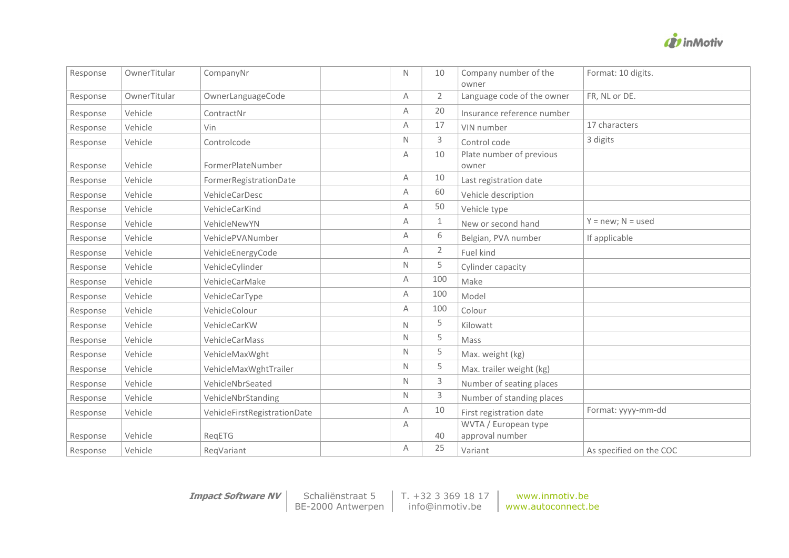

| Response | OwnerTitular | CompanyNr                    | Ν | 10             | Company number of the<br>owner    | Format: 10 digits.      |
|----------|--------------|------------------------------|---|----------------|-----------------------------------|-------------------------|
| Response | OwnerTitular | OwnerLanguageCode            | Α | $\overline{2}$ | Language code of the owner        | FR, NL or DE.           |
| Response | Vehicle      | ContractNr                   | Α | 20             | Insurance reference number        |                         |
| Response | Vehicle      | Vin                          | Α | 17             | VIN number                        | 17 characters           |
| Response | Vehicle      | Controlcode                  | Ν | 3              | Control code                      | 3 digits                |
| Response | Vehicle      | FormerPlateNumber            | Α | 10             | Plate number of previous<br>owner |                         |
| Response | Vehicle      | FormerRegistrationDate       | Α | 10             | Last registration date            |                         |
| Response | Vehicle      | VehicleCarDesc               | Α | 60             | Vehicle description               |                         |
| Response | Vehicle      | VehicleCarKind               | Α | 50             | Vehicle type                      |                         |
| Response | Vehicle      | VehicleNewYN                 | Α | $\mathbf{1}$   | New or second hand                | $Y = new; N = used$     |
| Response | Vehicle      | VehiclePVANumber             | Α | 6              | Belgian, PVA number               | If applicable           |
| Response | Vehicle      | VehicleEnergyCode            | Α | $\overline{2}$ | Fuel kind                         |                         |
| Response | Vehicle      | VehicleCylinder              | N | 5              | Cylinder capacity                 |                         |
| Response | Vehicle      | VehicleCarMake               | Α | 100            | Make                              |                         |
| Response | Vehicle      | VehicleCarType               | Α | 100            | Model                             |                         |
| Response | Vehicle      | VehicleColour                | Α | 100            | Colour                            |                         |
| Response | Vehicle      | VehicleCarKW                 | N | 5              | Kilowatt                          |                         |
| Response | Vehicle      | VehicleCarMass               | N | 5              | Mass                              |                         |
| Response | Vehicle      | VehicleMaxWght               | N | 5              | Max. weight (kg)                  |                         |
| Response | Vehicle      | VehicleMaxWghtTrailer        | N | 5              | Max. trailer weight (kg)          |                         |
| Response | Vehicle      | VehicleNbrSeated             | Ν | 3              | Number of seating places          |                         |
| Response | Vehicle      | VehicleNbrStanding           | N | 3              | Number of standing places         |                         |
| Response | Vehicle      | VehicleFirstRegistrationDate | Α | 10             | First registration date           | Format: yyyy-mm-dd      |
|          |              |                              | Α |                | WVTA / European type              |                         |
| Response | Vehicle      | RegETG                       |   | 40             | approval number                   |                         |
| Response | Vehicle      | RegVariant                   | Α | 25             | Variant                           | As specified on the COC |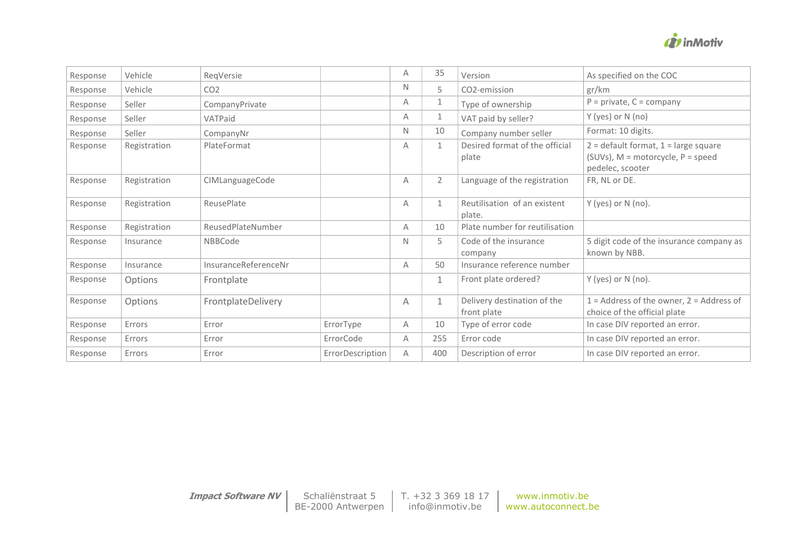

| Response | Vehicle      | ReqVersie            |                  | Α | 35             | Version                                    | As specified on the COC                                                                               |
|----------|--------------|----------------------|------------------|---|----------------|--------------------------------------------|-------------------------------------------------------------------------------------------------------|
| Response | Vehicle      | CO <sub>2</sub>      |                  | N | 5.             | CO2-emission                               | gr/km                                                                                                 |
| Response | Seller       | CompanyPrivate       |                  | A | $\mathbf{1}$   | Type of ownership                          | $P = private, C = company$                                                                            |
| Response | Seller       | VATPaid              |                  | A | $\mathbf{1}$   | VAT paid by seller?                        | Y (yes) or N (no)                                                                                     |
| Response | Seller       | CompanyNr            |                  | N | 10             | Company number seller                      | Format: 10 digits.                                                                                    |
| Response | Registration | PlateFormat          |                  | Α | $\mathbf{1}$   | Desired format of the official<br>plate    | $2 =$ default format, $1 =$ large square<br>(SUVs), $M =$ motorcycle, $P =$ speed<br>pedelec, scooter |
| Response | Registration | CIMLanguageCode      |                  | Α | $\overline{2}$ | Language of the registration               | FR, NL or DE.                                                                                         |
| Response | Registration | ReusePlate           |                  | Α | $\mathbf{1}$   | Reutilisation of an existent<br>plate.     | Y (yes) or N (no).                                                                                    |
| Response | Registration | ReusedPlateNumber    |                  | A | 10             | Plate number for reutilisation             |                                                                                                       |
| Response | Insurance    | <b>NBBCode</b>       |                  | N | 5              | Code of the insurance<br>company           | 5 digit code of the insurance company as<br>known by NBB.                                             |
| Response | Insurance    | InsuranceReferenceNr |                  | A | 50             | Insurance reference number                 |                                                                                                       |
| Response | Options      | Frontplate           |                  |   | $\mathbf{1}$   | Front plate ordered?                       | Y (yes) or N (no).                                                                                    |
| Response | Options      | FrontplateDelivery   |                  | Α | $\mathbf{1}$   | Delivery destination of the<br>front plate | $1 =$ Address of the owner, $2 =$ Address of<br>choice of the official plate                          |
| Response | Errors       | Error                | ErrorType        | A | 10             | Type of error code                         | In case DIV reported an error.                                                                        |
| Response | Errors       | Error                | ErrorCode        | A | 255            | Error code                                 | In case DIV reported an error.                                                                        |
| Response | Errors       | Error                | ErrorDescription | A | 400            | Description of error                       | In case DIV reported an error.                                                                        |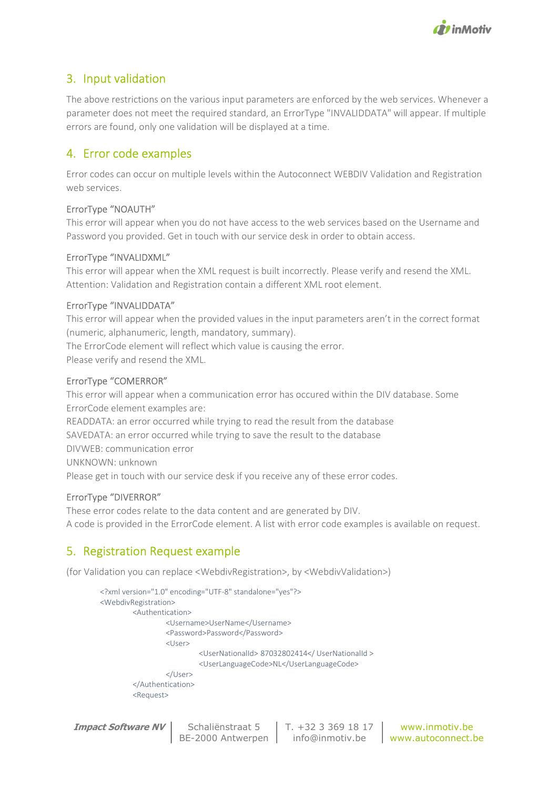

# 3. Input validation

The above restrictions on the various input parameters are enforced by the web services. Whenever a parameter does not meet the required standard, an ErrorType "INVALIDDATA" will appear. If multiple errors are found, only one validation will be displayed at a time.

# 4. Error code examples

Error codes can occur on multiple levels within the Autoconnect WEBDIV Validation and Registration web services.

# ErrorType "NOAUTH"

This error will appear when you do not have access to the web services based on the Username and Password you provided. Get in touch with our service desk in order to obtain access.

# ErrorType "INVALIDXML"

This error will appear when the XML request is built incorrectly. Please verify and resend the XML. Attention: Validation and Registration contain a different XML root element.

### ErrorType "INVALIDDATA"

This error will appear when the provided values in the input parameters aren't in the correct format (numeric, alphanumeric, length, mandatory, summary). The ErrorCode element will reflect which value is causing the error. Please verify and resend the XML.

### ErrorType "COMERROR"

This error will appear when a communication error has occured within the DIV database. Some ErrorCode element examples are: READDATA: an error occurred while trying to read the result from the database SAVEDATA: an error occurred while trying to save the result to the database DIVWEB: communication error UNKNOWN: unknown Please get in touch with our service desk if you receive any of these error codes.

# ErrorType "DIVERROR"

These error codes relate to the data content and are generated by DIV. A code is provided in the ErrorCode element. A list with error code examples is available on request.

# 5. Registration Request example

(for Validation you can replace <WebdivRegistration>, by <WebdivValidation>)

```
<?xml version="1.0" encoding="UTF-8" standalone="yes"?>
<WebdivRegistration>
         <Authentication>
                  <Username>UserName</Username>
                  <Password>Password</Password>
                  <User>
                          <UserNationalId> 87032802414</ UserNationalId >
                           <UserLanguageCode>NL</UserLanguageCode>
                  </User>
         </Authentication>
         <Request>
```

```
Impact Software NV Schaliënstraat 5
                    BE-2000 Antwerpen 
                                         T. +32 3 369 18 17 
                                         info@inmotiv.be 
                                                                www.inmotiv.be 
                                                             www.autoconnect.be
```